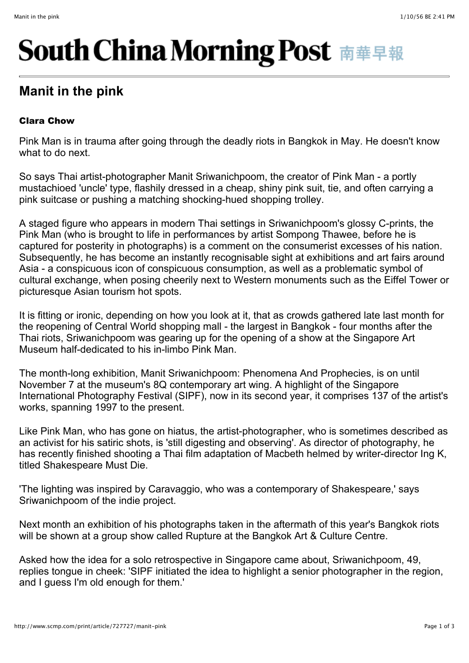## **South China Morning Post 南華早報**

## **Manit in the pink**

## Clara Chow

Pink Man is in trauma after going through the deadly riots in Bangkok in May. He doesn't know what to do next.

So says Thai artist-photographer Manit Sriwanichpoom, the creator of Pink Man - a portly mustachioed 'uncle' type, flashily dressed in a cheap, shiny pink suit, tie, and often carrying a pink suitcase or pushing a matching shocking-hued shopping trolley.

A staged figure who appears in modern Thai settings in Sriwanichpoom's glossy C-prints, the Pink Man (who is brought to life in performances by artist Sompong Thawee, before he is captured for posterity in photographs) is a comment on the consumerist excesses of his nation. Subsequently, he has become an instantly recognisable sight at exhibitions and art fairs around Asia - a conspicuous icon of conspicuous consumption, as well as a problematic symbol of cultural exchange, when posing cheerily next to Western monuments such as the Eiffel Tower or picturesque Asian tourism hot spots.

It is fitting or ironic, depending on how you look at it, that as crowds gathered late last month for the reopening of Central World shopping mall - the largest in Bangkok - four months after the Thai riots, Sriwanichpoom was gearing up for the opening of a show at the Singapore Art Museum half-dedicated to his in-limbo Pink Man.

The month-long exhibition, Manit Sriwanichpoom: Phenomena And Prophecies, is on until November 7 at the museum's 8Q contemporary art wing. A highlight of the Singapore International Photography Festival (SIPF), now in its second year, it comprises 137 of the artist's works, spanning 1997 to the present.

Like Pink Man, who has gone on hiatus, the artist-photographer, who is sometimes described as an activist for his satiric shots, is 'still digesting and observing'. As director of photography, he has recently finished shooting a Thai film adaptation of Macbeth helmed by writer-director Ing K, titled Shakespeare Must Die.

'The lighting was inspired by Caravaggio, who was a contemporary of Shakespeare,' says Sriwanichpoom of the indie project.

Next month an exhibition of his photographs taken in the aftermath of this year's Bangkok riots will be shown at a group show called Rupture at the Bangkok Art & Culture Centre.

Asked how the idea for a solo retrospective in Singapore came about, Sriwanichpoom, 49, replies tongue in cheek: 'SIPF initiated the idea to highlight a senior photographer in the region, and I guess I'm old enough for them.'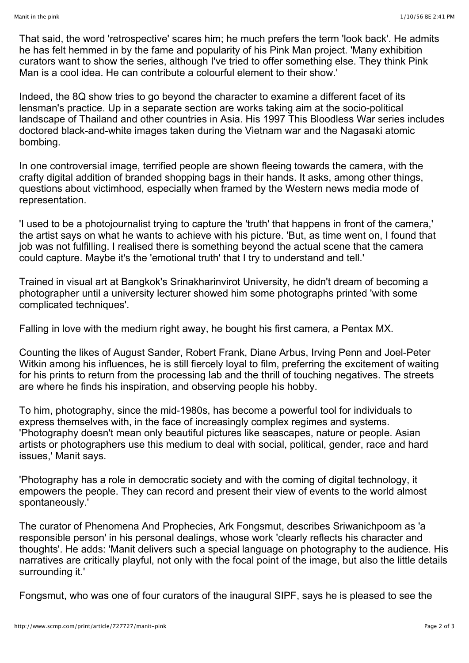That said, the word 'retrospective' scares him; he much prefers the term 'look back'. He admits he has felt hemmed in by the fame and popularity of his Pink Man project. 'Many exhibition curators want to show the series, although I've tried to offer something else. They think Pink Man is a cool idea. He can contribute a colourful element to their show.'

Indeed, the 8Q show tries to go beyond the character to examine a different facet of its lensman's practice. Up in a separate section are works taking aim at the socio-political landscape of Thailand and other countries in Asia. His 1997 This Bloodless War series includes doctored black-and-white images taken during the Vietnam war and the Nagasaki atomic bombing.

In one controversial image, terrified people are shown fleeing towards the camera, with the crafty digital addition of branded shopping bags in their hands. It asks, among other things, questions about victimhood, especially when framed by the Western news media mode of representation.

'I used to be a photojournalist trying to capture the 'truth' that happens in front of the camera,' the artist says on what he wants to achieve with his picture. 'But, as time went on, I found that job was not fulfilling. I realised there is something beyond the actual scene that the camera could capture. Maybe it's the 'emotional truth' that I try to understand and tell.'

Trained in visual art at Bangkok's Srinakharinvirot University, he didn't dream of becoming a photographer until a university lecturer showed him some photographs printed 'with some complicated techniques'.

Falling in love with the medium right away, he bought his first camera, a Pentax MX.

Counting the likes of August Sander, Robert Frank, Diane Arbus, Irving Penn and Joel-Peter Witkin among his influences, he is still fiercely loyal to film, preferring the excitement of waiting for his prints to return from the processing lab and the thrill of touching negatives. The streets are where he finds his inspiration, and observing people his hobby.

To him, photography, since the mid-1980s, has become a powerful tool for individuals to express themselves with, in the face of increasingly complex regimes and systems. 'Photography doesn't mean only beautiful pictures like seascapes, nature or people. Asian artists or photographers use this medium to deal with social, political, gender, race and hard issues,' Manit says.

'Photography has a role in democratic society and with the coming of digital technology, it empowers the people. They can record and present their view of events to the world almost spontaneously.'

The curator of Phenomena And Prophecies, Ark Fongsmut, describes Sriwanichpoom as 'a responsible person' in his personal dealings, whose work 'clearly reflects his character and thoughts'. He adds: 'Manit delivers such a special language on photography to the audience. His narratives are critically playful, not only with the focal point of the image, but also the little details surrounding it.'

Fongsmut, who was one of four curators of the inaugural SIPF, says he is pleased to see the